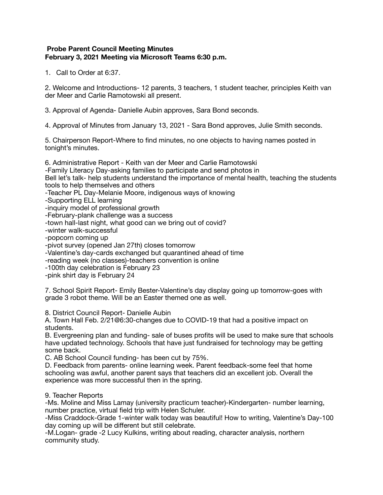## **Probe Parent Council Meeting Minutes February 3, 2021 Meeting via Microsoft Teams 6:30 p.m.**

1. Call to Order at 6:37.

2. Welcome and Introductions- 12 parents, 3 teachers, 1 student teacher, principles Keith van der Meer and Carlie Ramotowski all present.

3. Approval of Agenda- Danielle Aubin approves, Sara Bond seconds.

4. Approval of Minutes from January 13, 2021 - Sara Bond approves, Julie Smith seconds.

5. Chairperson Report-Where to find minutes, no one objects to having names posted in tonight's minutes.

6. Administrative Report - Keith van der Meer and Carlie Ramotowski

-Family Literacy Day-asking families to participate and send photos in

Bell let's talk- help students understand the importance of mental health, teaching the students tools to help themselves and others

-Teacher PL Day-Melanie Moore, indigenous ways of knowing

-Supporting ELL learning

-inquiry model of professional growth

-February-plank challenge was a success

-town hall-last night, what good can we bring out of covid?

-winter walk-successful

-popcorn coming up

-pivot survey (opened Jan 27th) closes tomorrow

-Valentine's day-cards exchanged but quarantined ahead of time

-reading week (no classes)-teachers convention is online

-100th day celebration is February 23

-pink shirt day is February 24

7. School Spirit Report- Emily Bester-Valentine's day display going up tomorrow-goes with grade 3 robot theme. Will be an Easter themed one as well.

8. District Council Report- Danielle Aubin

A. Town Hall Feb. 2/21@6:30-changes due to COVID-19 that had a positive impact on students.

B. Evergreening plan and funding- sale of buses profits will be used to make sure that schools have updated technology. Schools that have just fundraised for technology may be getting some back.

C. AB School Council funding- has been cut by 75%.

D. Feedback from parents- online learning week. Parent feedback-some feel that home schooling was awful, another parent says that teachers did an excellent job. Overall the experience was more successful then in the spring.

9. Teacher Reports

-Ms. Moline and Miss Lamay (university practicum teacher)-Kindergarten- number learning, number practice, virtual field trip with Helen Schuler.

-Miss Craddock-Grade 1-winter walk today was beautiful! How to writing, Valentine's Day-100 day coming up will be different but still celebrate.

-M.Logan- grade -2 Lucy Kulkins, writing about reading, character analysis, northern community study.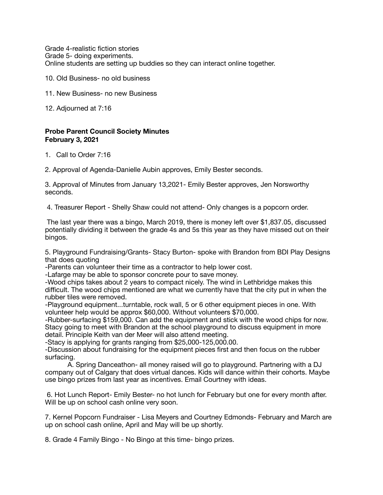Grade 4-realistic fiction stories Grade 5- doing experiments. Online students are setting up buddies so they can interact online together.

10. Old Business- no old business

11. New Business- no new Business

12. Adjourned at 7:16

## **Probe Parent Council Society Minutes February 3, 2021**

1. Call to Order 7:16

2. Approval of Agenda-Danielle Aubin approves, Emily Bester seconds.

3. Approval of Minutes from January 13,2021- Emily Bester approves, Jen Norsworthy seconds.

4. Treasurer Report - Shelly Shaw could not attend- Only changes is a popcorn order.

 The last year there was a bingo, March 2019, there is money left over \$1,837.05, discussed potentially dividing it between the grade 4s and 5s this year as they have missed out on their bingos.

5. Playground Fundraising/Grants- Stacy Burton- spoke with Brandon from BDI Play Designs that does quoting

-Parents can volunteer their time as a contractor to help lower cost.

-Lafarge may be able to sponsor concrete pour to save money.

-Wood chips takes about 2 years to compact nicely. The wind in Lethbridge makes this difficult. The wood chips mentioned are what we currently have that the city put in when the rubber tiles were removed.

-Playground equipment...turntable, rock wall, 5 or 6 other equipment pieces in one. With volunteer help would be approx \$60,000. Without volunteers \$70,000.

-Rubber-surfacing \$159,000. Can add the equipment and stick with the wood chips for now. Stacy going to meet with Brandon at the school playground to discuss equipment in more detail. Principle Keith van der Meer will also attend meeting.

-Stacy is applying for grants ranging from \$25,000-125,000.00.

-Discussion about fundraising for the equipment pieces first and then focus on the rubber surfacing.

A. Spring Danceathon- all money raised will go to playground. Partnering with a DJ company out of Calgary that does virtual dances. Kids will dance within their cohorts. Maybe use bingo prizes from last year as incentives. Email Courtney with ideas.

 6. Hot Lunch Report- Emily Bester- no hot lunch for February but one for every month after. Will be up on school cash online very soon.

7. Kernel Popcorn Fundraiser - Lisa Meyers and Courtney Edmonds- February and March are up on school cash online, April and May will be up shortly.

8. Grade 4 Family Bingo - No Bingo at this time- bingo prizes.